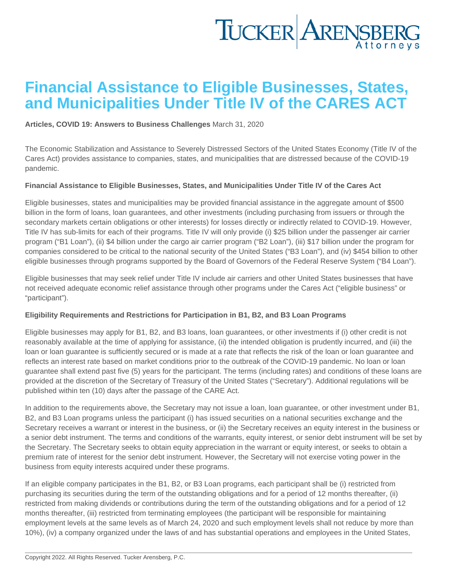## Financial Assistance to Eligible Businesses, States, and Municipalities Under Title IV of the CARES ACT

[Articles](https://www.tuckerlaw.com/category/articles/), [COVID 19: Answers to Business Challenges](https://www.tuckerlaw.com/category/covid-19-answers-to-business-challenges/) March 31, 2020

The Economic Stabilization and Assistance to Severely Distressed Sectors of the United States Economy (Title IV of the Cares Act) provides assistance to companies, states, and municipalities that are distressed because of the COVID-19 pandemic.

Financial Assistance to Eligible Businesses, States, and Municipalities Under Title IV of the Cares Act

Eligible businesses, states and municipalities may be provided financial assistance in the aggregate amount of \$500 billion in the form of loans, loan guarantees, and other investments (including purchasing from issuers or through the secondary markets certain obligations or other interests) for losses directly or indirectly related to COVID-19. However, Title IV has sub-limits for each of their programs. Title IV will only provide (i) \$25 billion under the passenger air carrier program ("B1 Loan"), (ii) \$4 billion under the cargo air carrier program ("B2 Loan"), (iii) \$17 billion under the program for companies considered to be critical to the national security of the United States ("B3 Loan"), and (iv) \$454 billion to other eligible businesses through programs supported by the Board of Governors of the Federal Reserve System ("B4 Loan").

Eligible businesses that may seek relief under Title IV include air carriers and other United States businesses that have not received adequate economic relief assistance through other programs under the Cares Act ("eligible business" or "participant").

Eligibility Requirements and Restrictions for Participation in B1, B2, and B3 Loan Programs

Eligible businesses may apply for B1, B2, and B3 loans, loan guarantees, or other investments if (i) other credit is not reasonably available at the time of applying for assistance, (ii) the intended obligation is prudently incurred, and (iii) the loan or loan guarantee is sufficiently secured or is made at a rate that reflects the risk of the loan or loan guarantee and reflects an interest rate based on market conditions prior to the outbreak of the COVID-19 pandemic. No loan or loan guarantee shall extend past five (5) years for the participant. The terms (including rates) and conditions of these loans are provided at the discretion of the Secretary of Treasury of the United States ("Secretary"). Additional regulations will be published within ten (10) days after the passage of the CARE Act.

In addition to the requirements above, the Secretary may not issue a loan, loan guarantee, or other investment under B1, B2, and B3 Loan programs unless the participant (i) has issued securities on a national securities exchange and the Secretary receives a warrant or interest in the business, or (ii) the Secretary receives an equity interest in the business or a senior debt instrument. The terms and conditions of the warrants, equity interest, or senior debt instrument will be set by the Secretary. The Secretary seeks to obtain equity appreciation in the warrant or equity interest, or seeks to obtain a premium rate of interest for the senior debt instrument. However, the Secretary will not exercise voting power in the business from equity interests acquired under these programs.

If an eligible company participates in the B1, B2, or B3 Loan programs, each participant shall be (i) restricted from purchasing its securities during the term of the outstanding obligations and for a period of 12 months thereafter, (ii) restricted from making dividends or contributions during the term of the outstanding obligations and for a period of 12 months thereafter, (iii) restricted from terminating employees (the participant will be responsible for maintaining employment levels at the same levels as of March 24, 2020 and such employment levels shall not reduce by more than 10%), (iv) a company organized under the laws of and has substantial operations and employees in the United States,